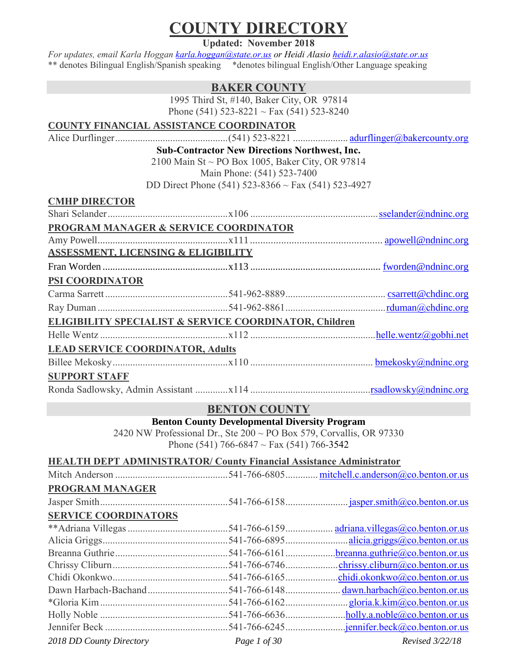# **COUNTY DIRECTORY**

**Updated: November 2018**

*For updates, email Karla Hoggan [karla.hoggan@state.or.us](mailto:karla.hoggan@state.or.us) or Heidi Alasio [heidi.r.alasio@state.or.us](mailto:heidi.r.alasio@state.or.us)* \*\* denotes Bilingual English/Spanish speaking \*denotes bilingual English/Other Language speaking

#### **BAKER COUNTY**

1995 Third St, #140, Baker City, OR 97814 Phone (541) 523-8221 ~ Fax (541) 523-8240

#### **COUNTY FINANCIAL ASSISTANCE COORDINATOR**

Alice Durflinger.............................................(541) 523-8221 ...................... [adurflinger@bakercounty.org](mailto:adurflinger@bakercounty.org)

**Sub-Contractor New Directions Northwest, Inc.**

2100 Main St ~ PO Box 1005, Baker City, OR 97814 Main Phone: (541) 523-7400

DD Direct Phone (541) 523-8366 ~ Fax (541) 523-4927

| <b>CMHP DIRECTOR</b> |  |
|----------------------|--|
|                      |  |

| PROGRAM MANAGER & SERVICE COORDINATOR          |                                                        |  |
|------------------------------------------------|--------------------------------------------------------|--|
|                                                |                                                        |  |
| <b>ASSESSMENT, LICENSING &amp; ELIGIBILITY</b> |                                                        |  |
|                                                |                                                        |  |
| PSI COORDINATOR                                |                                                        |  |
|                                                |                                                        |  |
|                                                |                                                        |  |
|                                                | ELIGIBILITY SPECIALIST & SERVICE COORDINATOR, Children |  |
|                                                |                                                        |  |
| <b>LEAD SERVICE COORDINATOR, Adults</b>        |                                                        |  |
|                                                |                                                        |  |
| <b>SUPPORT STAFF</b>                           |                                                        |  |
|                                                |                                                        |  |

#### **BENTON COUNTY**

**Benton County Developmental Diversity Program**

2420 NW Professional Dr., Ste 200 ~ PO Box 579, Corvallis, OR 97330 Phone (541) 766-6847 ~ Fax (541) 766-3542

**HEALTH DEPT ADMINISTRATOR/ County Financial Assistance Administrator**

| PROGRAM MANAGER             |              |                                                       |
|-----------------------------|--------------|-------------------------------------------------------|
|                             |              |                                                       |
| <b>SERVICE COORDINATORS</b> |              |                                                       |
|                             |              | adriana.villegas@co. benton. or. us                   |
|                             |              |                                                       |
|                             |              | $b$ reanna.guthrie@co.benton.or.us                    |
|                             |              | chrissy.cliburn@co.benton.or.us                       |
|                             |              | .chidi.okonkwo@co.benton.or.us                        |
|                             |              | dawn.harbach@co.benton.or.us                          |
|                             |              | gloria.k. $\text{kim}\textcircled{a}$ co.benton.or.us |
|                             |              |                                                       |
|                             |              |                                                       |
| 2018 DD County Directory    | Page 1 of 30 | Revised 3/22/18                                       |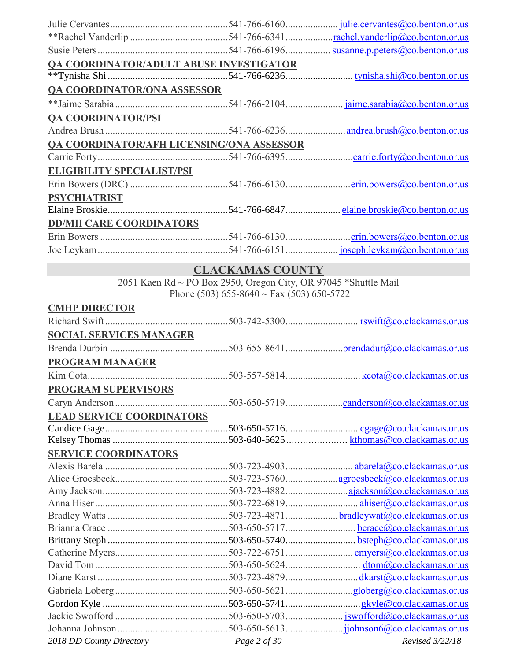| <b>QA COORDINATOR/ADULT ABUSE INVESTIGATOR</b> |  |
|------------------------------------------------|--|
|                                                |  |
| <b>QA COORDINATOR/ONA ASSESSOR</b>             |  |
|                                                |  |
| <b>QA COORDINATOR/PSI</b>                      |  |
|                                                |  |
| QA COORDINATOR/AFH LICENSING/ONA ASSESSOR      |  |
|                                                |  |
| <b>ELIGIBILITY SPECIALIST/PSI</b>              |  |
|                                                |  |
| <b>PSYCHIATRIST</b>                            |  |
|                                                |  |
| <b>DD/MH CARE COORDINATORS</b>                 |  |
|                                                |  |
|                                                |  |

# **CLACKAMAS COUNTY**

2051 Kaen Rd ~ PO Box 2950, Oregon City, OR 97045 \*Shuttle Mail Phone (503) 655-8640 ~ Fax (503) 650-5722

| <b>CMHP DIRECTOR</b>             |              |                 |
|----------------------------------|--------------|-----------------|
|                                  |              |                 |
| <b>SOCIAL SERVICES MANAGER</b>   |              |                 |
|                                  |              |                 |
| <b>PROGRAM MANAGER</b>           |              |                 |
|                                  |              |                 |
| <b>PROGRAM SUPERVISORS</b>       |              |                 |
|                                  |              |                 |
| <b>LEAD SERVICE COORDINATORS</b> |              |                 |
|                                  |              |                 |
|                                  |              |                 |
| <b>SERVICE COORDINATORS</b>      |              |                 |
|                                  |              |                 |
|                                  |              |                 |
|                                  |              |                 |
|                                  |              |                 |
|                                  |              |                 |
|                                  |              |                 |
|                                  |              |                 |
|                                  |              |                 |
|                                  |              |                 |
|                                  |              |                 |
|                                  |              |                 |
|                                  |              |                 |
|                                  |              |                 |
|                                  |              |                 |
| 2018 DD County Directory         | Page 2 of 30 | Revised 3/22/18 |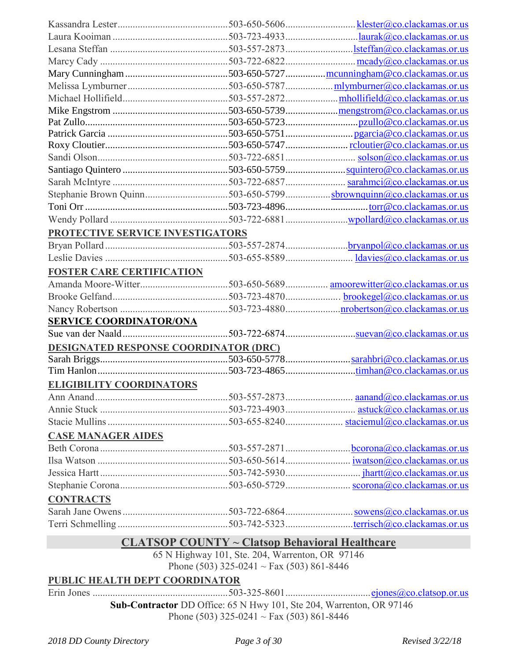|                                              | Stephanie Brown Quinn503-650-5799sbrownquinn@co.clackamas.or.us |
|----------------------------------------------|-----------------------------------------------------------------|
|                                              |                                                                 |
|                                              |                                                                 |
| PROTECTIVE SERVICE INVESTIGATORS             |                                                                 |
|                                              |                                                                 |
|                                              |                                                                 |
| <b>FOSTER CARE CERTIFICATION</b>             |                                                                 |
|                                              |                                                                 |
|                                              |                                                                 |
|                                              |                                                                 |
| <b>SERVICE COORDINATOR/ONA</b>               |                                                                 |
|                                              |                                                                 |
| <b>DESIGNATED RESPONSE COORDINATOR (DRC)</b> |                                                                 |
|                                              |                                                                 |
|                                              |                                                                 |
| <b>ELIGIBILITY COORDINATORS</b>              |                                                                 |
|                                              |                                                                 |
|                                              |                                                                 |
|                                              |                                                                 |
| <b>CASE MANAGER AIDES</b>                    |                                                                 |
|                                              |                                                                 |
|                                              |                                                                 |
|                                              |                                                                 |
|                                              |                                                                 |
| <b>CONTRACTS</b>                             |                                                                 |
|                                              |                                                                 |
|                                              |                                                                 |
|                                              |                                                                 |

### **CLATSOP COUNTY ~ Clatsop Behavioral Healthcare**

65 N Highway 101, Ste. 204, Warrenton, OR 97146 Phone (503) 325-0241 ~ Fax (503) 861-8446

### **PUBLIC HEALTH DEPT COORDINATOR**

Erin Jones ......................................................503-325-8601.................................[.ejones@co.clatsop.or.us](mailto:ejones@co.clatsop.or.us)

**Sub-Contractor** DD Office: 65 N Hwy 101, Ste 204, Warrenton, OR 97146 Phone (503) 325-0241 ~ Fax (503) 861-8446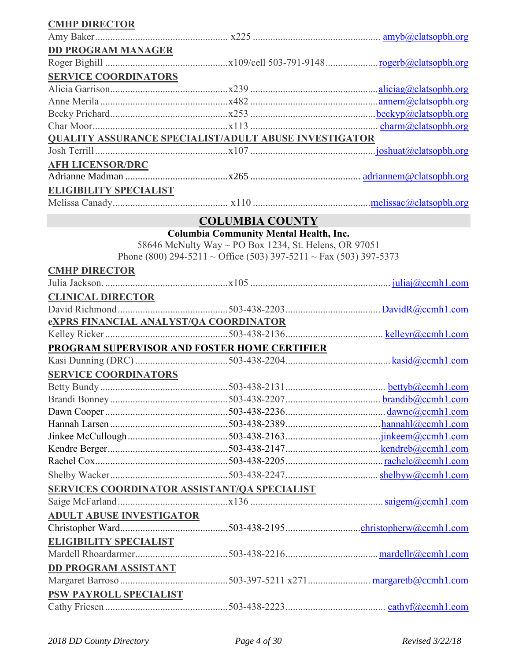| <b>CMHP DIRECTOR</b>                                         |                                                                   |  |
|--------------------------------------------------------------|-------------------------------------------------------------------|--|
|                                                              |                                                                   |  |
| <b>DD PROGRAM MANAGER</b>                                    |                                                                   |  |
|                                                              |                                                                   |  |
| <b>SERVICE COORDINATORS</b>                                  |                                                                   |  |
|                                                              |                                                                   |  |
|                                                              |                                                                   |  |
|                                                              |                                                                   |  |
|                                                              |                                                                   |  |
| <b>QUALITY ASSURANCE SPECIALIST/ADULT ABUSE INVESTIGATOR</b> |                                                                   |  |
|                                                              |                                                                   |  |
| <b>AFH LICENSOR/DRC</b>                                      |                                                                   |  |
|                                                              |                                                                   |  |
| <b>ELIGIBILITY SPECIALIST</b>                                |                                                                   |  |
|                                                              |                                                                   |  |
|                                                              |                                                                   |  |
|                                                              | <b>COLUMBIA COUNTY</b>                                            |  |
|                                                              | <b>Columbia Community Mental Health, Inc.</b>                     |  |
|                                                              | 58646 McNulty Way ~ PO Box 1234, St. Helens, OR 97051             |  |
|                                                              | Phone (800) 294-5211 ~ Office (503) 397-5211 ~ Fax (503) 397-5373 |  |
| <b>CMHP DIRECTOR</b>                                         |                                                                   |  |
|                                                              |                                                                   |  |
| <b>CLINICAL DIRECTOR</b>                                     |                                                                   |  |
|                                                              |                                                                   |  |
| eXPRS FINANCIAL ANALYST/QA COORDINATOR                       |                                                                   |  |
|                                                              |                                                                   |  |
| PROGRAM SUPERVISOR AND FOSTER HOME CERTIFIER                 |                                                                   |  |
|                                                              |                                                                   |  |
| <b>SERVICE COORDINATORS</b>                                  |                                                                   |  |
|                                                              |                                                                   |  |
|                                                              |                                                                   |  |
|                                                              |                                                                   |  |
|                                                              |                                                                   |  |
|                                                              |                                                                   |  |
|                                                              |                                                                   |  |
|                                                              |                                                                   |  |
|                                                              |                                                                   |  |
| SERVICES COORDINATOR ASSISTANT/QA SPECIALIST                 |                                                                   |  |
|                                                              |                                                                   |  |
| <b>ADULT ABUSE INVESTIGATOR</b>                              |                                                                   |  |
|                                                              |                                                                   |  |
| <b>ELIGIBILITY SPECIALIST</b>                                |                                                                   |  |
|                                                              |                                                                   |  |
|                                                              |                                                                   |  |
| <b>DD PROGRAM ASSISTANT</b>                                  |                                                                   |  |
|                                                              |                                                                   |  |
| PSW PAYROLL SPECIALIST                                       |                                                                   |  |
|                                                              |                                                                   |  |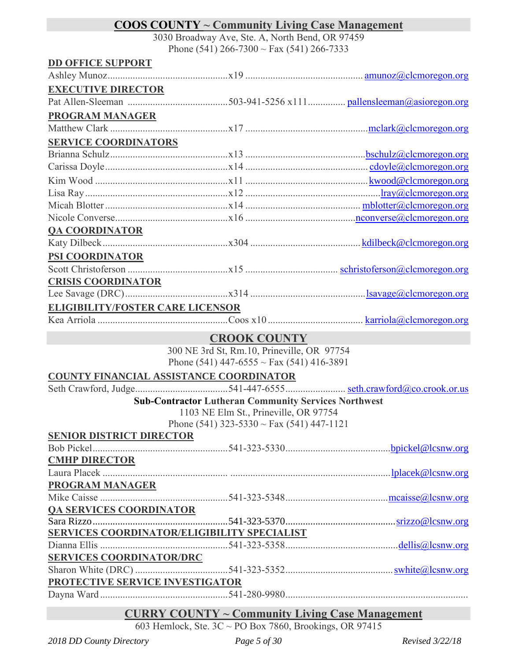# **COOS COUNTY ~ Community Living Case Management**

3030 Broadway Ave, Ste. A, North Bend, OR 97459 Phone (541) 266-7300  $\sim$  Fax (541) 266-7333

|                                         | 1 HOIIC (241) $200$ -7300 $\approx$ 1 ax (241) $200$ -7333  |  |
|-----------------------------------------|-------------------------------------------------------------|--|
| <b>DD OFFICE SUPPORT</b>                |                                                             |  |
|                                         |                                                             |  |
| <b>EXECUTIVE DIRECTOR</b>               |                                                             |  |
|                                         |                                                             |  |
| <b>PROGRAM MANAGER</b>                  |                                                             |  |
|                                         |                                                             |  |
| <b>SERVICE COORDINATORS</b>             |                                                             |  |
|                                         |                                                             |  |
|                                         |                                                             |  |
|                                         |                                                             |  |
|                                         |                                                             |  |
|                                         |                                                             |  |
|                                         |                                                             |  |
| <b>QA COORDINATOR</b>                   |                                                             |  |
|                                         |                                                             |  |
| <b>PSI COORDINATOR</b>                  |                                                             |  |
|                                         |                                                             |  |
| <b>CRISIS COORDINATOR</b>               |                                                             |  |
|                                         |                                                             |  |
| <b>ELIGIBILITY/FOSTER CARE LICENSOR</b> |                                                             |  |
|                                         |                                                             |  |
|                                         | <b>CROOK COUNTY</b>                                         |  |
|                                         | 300 NE 3rd St, Rm.10, Prineville, OR 97754                  |  |
|                                         | Phone (541) 447-6555 ~ Fax (541) 416-3891                   |  |
|                                         | COUNTY FINANCIAL ASSISTANCE COORDINATOR                     |  |
|                                         |                                                             |  |
|                                         | <b>Sub-Contractor Lutheran Community Services Northwest</b> |  |
|                                         | 1103 NE Elm St., Prineville, OR 97754                       |  |
|                                         | Phone (541) 323-5330 $\sim$ Fax (541) 447-1121              |  |
| <b>SENIOR DISTRICT DIRECTOR</b>         |                                                             |  |
|                                         |                                                             |  |
| <b>CMHP DIRECTOR</b>                    |                                                             |  |
|                                         |                                                             |  |
| <b>PROGRAM MANAGER</b>                  |                                                             |  |
|                                         |                                                             |  |
| <b>QA SERVICES COORDINATOR</b>          |                                                             |  |
|                                         |                                                             |  |
|                                         | SERVICES COORDINATOR/ELIGIBILITY SPECIALIST                 |  |
|                                         |                                                             |  |
| <b>SERVICES COORDINATOR/DRC</b>         |                                                             |  |
|                                         |                                                             |  |
| PROTECTIVE SERVICE INVESTIGATOR         |                                                             |  |
|                                         |                                                             |  |

### **CURRY COUNTY ~ Community Living Case Management**

603 Hemlock, Ste. 3C ~ PO Box 7860, Brookings, OR 97415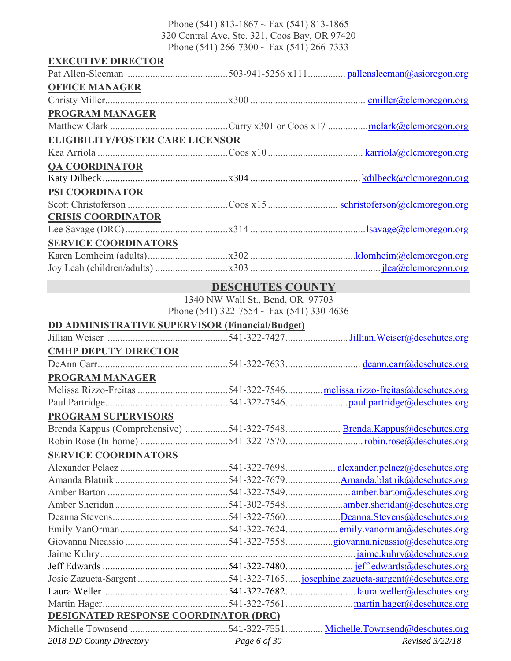Phone (541) 813-1867 ~ Fax (541) 813-1865 320 Central Ave, Ste. 321, Coos Bay, OR 97420 Phone (541) 266-7300 ~ Fax (541) 266-7333

| <b>EXECUTIVE DIRECTOR</b>               |  |
|-----------------------------------------|--|
|                                         |  |
| <b>OFFICE MANAGER</b>                   |  |
|                                         |  |
| <b>PROGRAM MANAGER</b>                  |  |
|                                         |  |
| <b>ELIGIBILITY/FOSTER CARE LICENSOR</b> |  |
|                                         |  |
| <b>QA COORDINATOR</b>                   |  |
|                                         |  |
| PSI COORDINATOR                         |  |
|                                         |  |
| <b>CRISIS COORDINATOR</b>               |  |
|                                         |  |
| <b>SERVICE COORDINATORS</b>             |  |
|                                         |  |
|                                         |  |

### **DESCHUTES COUNTY**

1340 NW Wall St., Bend, OR 97703 Phone (541) 322-7554 ~ Fax (541) 330-4636

#### **DD ADMINISTRATIVE SUPERVISOR (Financial/Budget)**

| <b>CMHP DEPUTY DIRECTOR</b>                  |                                                                        |
|----------------------------------------------|------------------------------------------------------------------------|
|                                              |                                                                        |
| <b>PROGRAM MANAGER</b>                       |                                                                        |
|                                              |                                                                        |
|                                              |                                                                        |
| <b>PROGRAM SUPERVISORS</b>                   |                                                                        |
|                                              | Brenda Kappus (Comprehensive) 541-322-7548 Brenda.Kappus@deschutes.org |
|                                              |                                                                        |
| <b>SERVICE COORDINATORS</b>                  |                                                                        |
|                                              |                                                                        |
|                                              |                                                                        |
|                                              |                                                                        |
|                                              |                                                                        |
|                                              |                                                                        |
|                                              |                                                                        |
|                                              |                                                                        |
|                                              |                                                                        |
|                                              |                                                                        |
|                                              |                                                                        |
|                                              |                                                                        |
|                                              |                                                                        |
| <b>DESIGNATED RESPONSE COORDINATOR (DRC)</b> |                                                                        |
|                                              |                                                                        |

*2018 DD County Directory Page 6 of 30 Revised 3/22/18*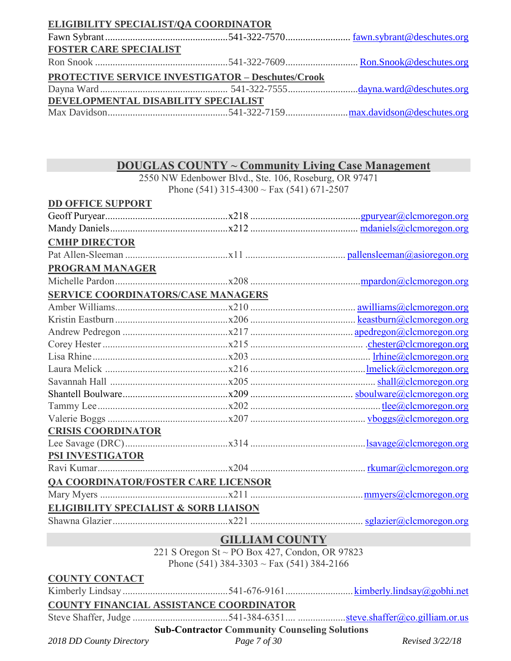### **ELIGIBILITY SPECIALIST/QA COORDINATOR**

| <b>FOSTER CARE SPECIALIST</b>       |                                                          |  |
|-------------------------------------|----------------------------------------------------------|--|
|                                     |                                                          |  |
|                                     | <b>PROTECTIVE SERVICE INVESTIGATOR - Deschutes/Crook</b> |  |
|                                     |                                                          |  |
| DEVELOPMENTAL DISABILITY SPECIALIST |                                                          |  |
|                                     |                                                          |  |

### **DOUGLAS COUNTY ~ Community Living Case Management**

2550 NW Edenbower Blvd., Ste. 106, Roseburg, OR 97471 Phone (541) 315-4300 ~ Fax (541) 671-2507

| <b>DD OFFICE SUPPORT</b>  |                                                      |  |
|---------------------------|------------------------------------------------------|--|
|                           |                                                      |  |
|                           |                                                      |  |
| <b>CMHP DIRECTOR</b>      |                                                      |  |
|                           |                                                      |  |
| <b>PROGRAM MANAGER</b>    |                                                      |  |
|                           |                                                      |  |
|                           | SERVICE COORDINATORS/CASE MANAGERS                   |  |
|                           |                                                      |  |
|                           |                                                      |  |
|                           |                                                      |  |
|                           |                                                      |  |
|                           |                                                      |  |
|                           |                                                      |  |
|                           |                                                      |  |
|                           |                                                      |  |
|                           |                                                      |  |
|                           |                                                      |  |
| <b>CRISIS COORDINATOR</b> |                                                      |  |
|                           |                                                      |  |
| <b>PSI INVESTIGATOR</b>   |                                                      |  |
|                           |                                                      |  |
|                           | <b>QA COORDINATOR/FOSTER CARE LICENSOR</b>           |  |
|                           |                                                      |  |
|                           |                                                      |  |
|                           |                                                      |  |
|                           | <b>GILLIAM COUNTY</b>                                |  |
|                           | 221 S Oregon St ~ PO Box 427, Condon, OR 97823       |  |
|                           | Phone (541) 384-3303 ~ Fax (541) 384-2166            |  |
| <b>COUNTY CONTACT</b>     |                                                      |  |
|                           |                                                      |  |
|                           | <b>COUNTY FINANCIAL ASSISTANCE COORDINATOR</b>       |  |
|                           |                                                      |  |
|                           | <b>Sub-Contractor Community Counseling Solutions</b> |  |

*2018 DD County Directory Page 7 of 30 Revised 3/22/18*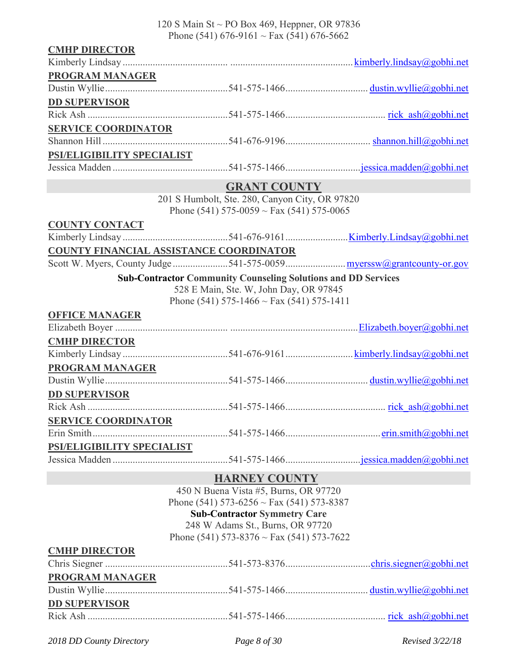120 S Main St ~ PO Box 469, Heppner, OR 97836 Phone (541) 676-9161 ~ Fax (541) 676-5662

| <b>CMHP DIRECTOR</b>       |                                                                      |  |
|----------------------------|----------------------------------------------------------------------|--|
|                            |                                                                      |  |
| <b>PROGRAM MANAGER</b>     |                                                                      |  |
|                            |                                                                      |  |
| <b>DD SUPERVISOR</b>       |                                                                      |  |
|                            |                                                                      |  |
| <b>SERVICE COORDINATOR</b> |                                                                      |  |
|                            |                                                                      |  |
| PSI/ELIGIBILITY SPECIALIST |                                                                      |  |
|                            |                                                                      |  |
|                            | <b>GRANT COUNTY</b>                                                  |  |
|                            | 201 S Humbolt, Ste. 280, Canyon City, OR 97820                       |  |
|                            | Phone (541) 575-0059 $\sim$ Fax (541) 575-0065                       |  |
| <b>COUNTY CONTACT</b>      |                                                                      |  |
|                            |                                                                      |  |
|                            | COUNTY FINANCIAL ASSISTANCE COORDINATOR                              |  |
|                            |                                                                      |  |
|                            | <b>Sub-Contractor Community Counseling Solutions and DD Services</b> |  |
|                            | 528 E Main, Ste. W, John Day, OR 97845                               |  |
|                            | Phone (541) 575-1466 ~ Fax (541) 575-1411                            |  |
| <b>OFFICE MANAGER</b>      |                                                                      |  |
|                            |                                                                      |  |
| <b>CMHP DIRECTOR</b>       |                                                                      |  |
|                            |                                                                      |  |
| <b>PROGRAM MANAGER</b>     |                                                                      |  |
|                            |                                                                      |  |
| <b>DD SUPERVISOR</b>       |                                                                      |  |
|                            |                                                                      |  |
| <b>SERVICE COORDINATOR</b> |                                                                      |  |
|                            |                                                                      |  |
| PSI/ELIGIBILITY SPECIALIST |                                                                      |  |
|                            |                                                                      |  |
|                            | <b>HARNEY COUNTY</b>                                                 |  |
|                            | 450 N Buena Vista #5, Burns, OR 97720                                |  |
|                            | Phone (541) 573-6256 ~ Fax (541) 573-8387                            |  |
|                            | <b>Sub-Contractor Symmetry Care</b>                                  |  |
|                            | 248 W Adams St., Burns, OR 97720                                     |  |
|                            | Phone (541) 573-8376 $\sim$ Fax (541) 573-7622                       |  |
| <b>CMHP DIRECTOR</b>       |                                                                      |  |
|                            |                                                                      |  |
| <b>PROGRAM MANAGER</b>     |                                                                      |  |
|                            |                                                                      |  |
| <b>DD SUPERVISOR</b>       |                                                                      |  |
|                            |                                                                      |  |

*2018 DD County Directory Page 8 of 30 Revised 3/22/18*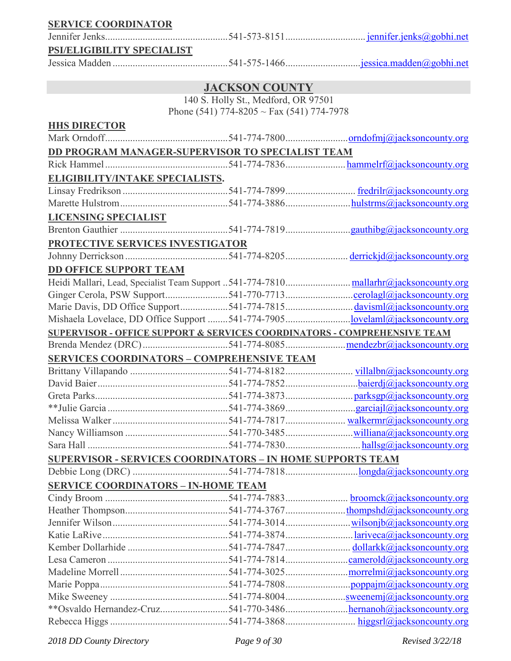**SERVICE COORDINATOR**

Jennifer Jenks.................................................541-573-8151................................ [jennifer.jenks@gobhi.net](mailto:jennifer.jenks@gobhi.net)

#### **PSI/ELIGIBILITY SPECIALIST**

Jessica Madden ..............................................541-575-1466.............................[.jessica.madden@gobhi.net](mailto:jessica.madden@gobhi.net)

#### **JACKSON COUNTY**

140 S. Holly St., Medford, OR 97501 Phone (541) 774-8205 ~ Fax (541) 774-7978

### **HHS DIRECTOR**

| DD PROGRAM MANAGER-SUPERVISOR TO SPECIALIST TEAM                         |  |
|--------------------------------------------------------------------------|--|
|                                                                          |  |
| <b>ELIGIBILITY/INTAKE SPECIALISTS.</b>                                   |  |
|                                                                          |  |
|                                                                          |  |
| <b>LICENSING SPECIALIST</b>                                              |  |
|                                                                          |  |
| PROTECTIVE SERVICES INVESTIGATOR                                         |  |
|                                                                          |  |
| DD OFFICE SUPPORT TEAM                                                   |  |
|                                                                          |  |
| Ginger Cerola, PSW Support541-770-7713 <u>cerolagl@jacksoncounty.org</u> |  |
|                                                                          |  |
|                                                                          |  |
| SUPERVISOR - OFFICE SUPPORT & SERVICES COORDINATORS - COMPREHENSIVE TEAM |  |
|                                                                          |  |
| <b>SERVICES COORDINATORS - COMPREHENSIVE TEAM</b>                        |  |
|                                                                          |  |
|                                                                          |  |
|                                                                          |  |
|                                                                          |  |
|                                                                          |  |
|                                                                          |  |
|                                                                          |  |
| <b>SUPERVISOR - SERVICES COORDINATORS - IN HOME SUPPORTS TEAM</b>        |  |
|                                                                          |  |
| <b>SERVICE COORDINATORS - IN-HOME TEAM</b>                               |  |
|                                                                          |  |
|                                                                          |  |
|                                                                          |  |
|                                                                          |  |
|                                                                          |  |
|                                                                          |  |
|                                                                          |  |
|                                                                          |  |
|                                                                          |  |
| **Osvaldo Hernandez-Cruz541-770-3486hernanoh@jacksoncounty.org           |  |
|                                                                          |  |

*2018 DD County Directory Page 9 of 30 Revised 3/22/18*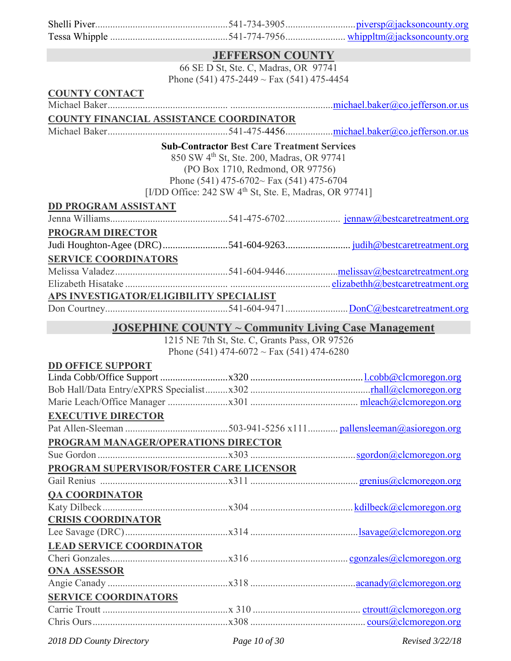|                                         | <b>JEFFERSON COUNTY</b>                                                                                     |  |
|-----------------------------------------|-------------------------------------------------------------------------------------------------------------|--|
|                                         | 66 SE D St, Ste. C, Madras, OR 97741                                                                        |  |
|                                         | Phone (541) 475-2449 ~ Fax (541) 475-4454                                                                   |  |
| <b>COUNTY CONTACT</b>                   |                                                                                                             |  |
|                                         |                                                                                                             |  |
| COUNTY FINANCIAL ASSISTANCE COORDINATOR |                                                                                                             |  |
|                                         |                                                                                                             |  |
|                                         | <b>Sub-Contractor Best Care Treatment Services</b>                                                          |  |
|                                         | 850 SW 4 <sup>th</sup> St, Ste. 200, Madras, OR 97741                                                       |  |
|                                         | (PO Box 1710, Redmond, OR 97756)                                                                            |  |
|                                         | Phone (541) 475-6702~ Fax (541) 475-6704                                                                    |  |
|                                         | [I/DD Office: $242$ SW $4th$ St, Ste. E, Madras, OR 97741]                                                  |  |
| <b>DD PROGRAM ASSISTANT</b>             |                                                                                                             |  |
|                                         |                                                                                                             |  |
| PROGRAM DIRECTOR                        |                                                                                                             |  |
|                                         |                                                                                                             |  |
| <b>SERVICE COORDINATORS</b>             |                                                                                                             |  |
|                                         |                                                                                                             |  |
|                                         |                                                                                                             |  |
| APS INVESTIGATOR/ELIGIBILITY SPECIALIST |                                                                                                             |  |
|                                         |                                                                                                             |  |
|                                         |                                                                                                             |  |
|                                         |                                                                                                             |  |
|                                         | <b>JOSEPHINE COUNTY ~ Community Living Case Management</b><br>1215 NE 7th St, Ste. C, Grants Pass, OR 97526 |  |
|                                         | Phone (541) 474-6072 ~ Fax (541) 474-6280                                                                   |  |
| <b>DD OFFICE SUPPORT</b>                |                                                                                                             |  |
|                                         |                                                                                                             |  |
|                                         |                                                                                                             |  |
|                                         |                                                                                                             |  |
| <b>EXECUTIVE DIRECTOR</b>               |                                                                                                             |  |
|                                         |                                                                                                             |  |
| PROGRAM MANAGER/OPERATIONS DIRECTOR     |                                                                                                             |  |
|                                         |                                                                                                             |  |
| PROGRAM SUPERVISOR/FOSTER CARE LICENSOR |                                                                                                             |  |
|                                         |                                                                                                             |  |
| <b>QA COORDINATOR</b>                   |                                                                                                             |  |
|                                         |                                                                                                             |  |
| <b>CRISIS COORDINATOR</b>               |                                                                                                             |  |
|                                         |                                                                                                             |  |
| <b>LEAD SERVICE COORDINATOR</b>         |                                                                                                             |  |
|                                         |                                                                                                             |  |
| <b>ONA ASSESSOR</b>                     |                                                                                                             |  |
|                                         |                                                                                                             |  |
| <b>SERVICE COORDINATORS</b>             |                                                                                                             |  |
|                                         |                                                                                                             |  |

*2018 DD County Directory Page 10 of 30 Revised 3/22/18*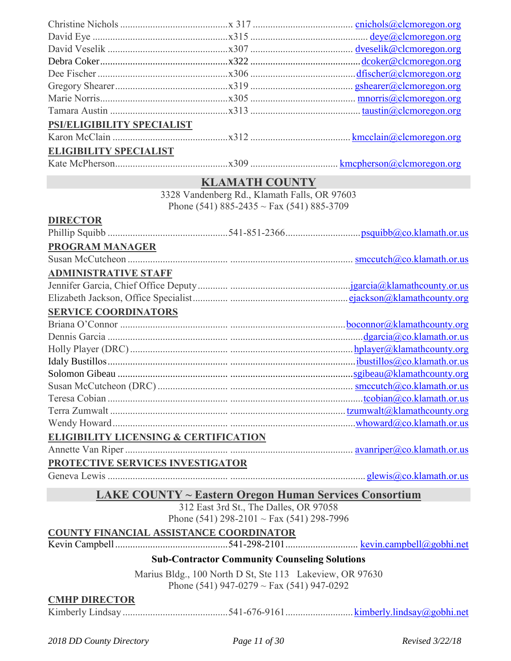| PSI/ELIGIBILITY SPECIALIST    |  |
|-------------------------------|--|
|                               |  |
| <b>ELIGIBILITY SPECIALIST</b> |  |
|                               |  |

Kate McPherson.............................................x309 ................................... [kmcpherson@clcmoregon.org](mailto:kmcpherson@clcmoregon.org)

### **KLAMATH COUNTY**

3328 Vandenberg Rd., Klamath Falls, OR 97603 Phone (541) 885-2435 ~ Fax (541) 885-3709

#### **DIRECTOR**

| <b>PROGRAM MANAGER</b>                           |                            |
|--------------------------------------------------|----------------------------|
|                                                  |                            |
| <b>ADMINISTRATIVE STAFF</b>                      |                            |
|                                                  |                            |
|                                                  |                            |
| <b>SERVICE COORDINATORS</b>                      |                            |
|                                                  | bocomnor@klamathcounty.org |
|                                                  |                            |
|                                                  |                            |
|                                                  |                            |
|                                                  |                            |
|                                                  |                            |
|                                                  |                            |
|                                                  |                            |
|                                                  |                            |
| <b>ELIGIBILITY LICENSING &amp; CERTIFICATION</b> |                            |
|                                                  |                            |
| DDOTECTIVE GEDVICEG INVEGTIC 4 TOD               |                            |

#### **PROTECTIVE SERVICES INVESTIGATOR**

Geneva Lewis ................................................ ...................................................... [glewis@co.klamath.or.us](mailto:glewis@co.klamath.or.us)

#### **LAKE COUNTY ~ Eastern Oregon Human Services Consortium**

312 East 3rd St., The Dalles, OR 97058 Phone (541) 298-2101 ~ Fax (541) 298-7996

### **COUNTY FINANCIAL ASSISTANCE COORDINATOR**

Kevin Campbell.............................................541-298-2101............................. [kevin.campbell@gobhi.net](mailto:kevin.campbell@gobhi.net)

#### **Sub-Contractor Community Counseling Solutions**

Marius Bldg., 100 North D St, Ste 113 Lakeview, OR 97630 Phone (541) 947-0279 ~ Fax (541) 947-0292

#### **CMHP DIRECTOR**

Kimberly Lindsay ..........................................541-676-9161........................... [kimberly.lindsay@gobhi.net](mailto:kimberly.lindsay@gobhi.net)

*2018 DD County Directory Page 11 of 30 Revised 3/22/18*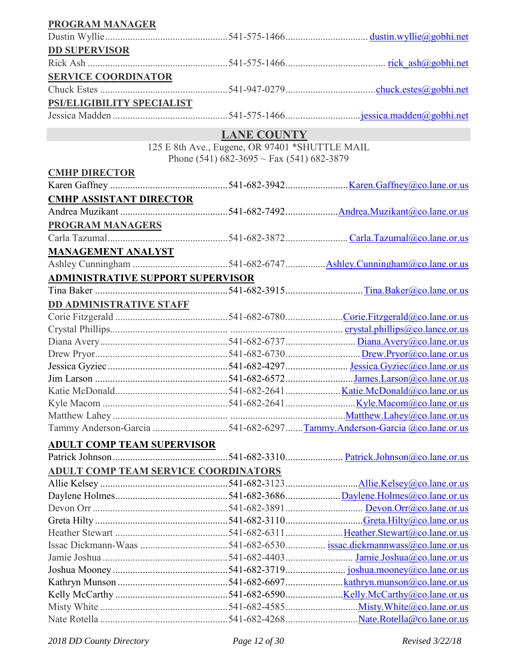| <b>PROGRAM MANAGER</b>                      |                                                       |                                                                        |
|---------------------------------------------|-------------------------------------------------------|------------------------------------------------------------------------|
|                                             |                                                       |                                                                        |
| <b>DD SUPERVISOR</b>                        |                                                       |                                                                        |
|                                             |                                                       |                                                                        |
| <b>SERVICE COORDINATOR</b>                  |                                                       |                                                                        |
|                                             |                                                       |                                                                        |
| PSI/ELIGIBILITY SPECIALIST                  |                                                       |                                                                        |
|                                             |                                                       |                                                                        |
|                                             | <b>LANE COUNTY</b>                                    |                                                                        |
|                                             | 125 E 8th Ave., Eugene, OR 97401 *SHUTTLE MAIL        |                                                                        |
|                                             | Phone (541) $682-3695 \sim \text{Fax}$ (541) 682-3879 |                                                                        |
| <b>CMHP DIRECTOR</b>                        |                                                       |                                                                        |
|                                             |                                                       |                                                                        |
| <b>CMHP ASSISTANT DIRECTOR</b>              |                                                       |                                                                        |
|                                             |                                                       |                                                                        |
|                                             |                                                       |                                                                        |
| <b>PROGRAM MANAGERS</b>                     |                                                       |                                                                        |
|                                             |                                                       |                                                                        |
| <b>MANAGEMENT ANALYST</b>                   |                                                       |                                                                        |
|                                             |                                                       |                                                                        |
| <b>ADMINISTRATIVE SUPPORT SUPERVISOR</b>    |                                                       |                                                                        |
|                                             |                                                       |                                                                        |
| <b>DD ADMINISTRATIVE STAFF</b>              |                                                       |                                                                        |
|                                             |                                                       |                                                                        |
|                                             |                                                       |                                                                        |
|                                             |                                                       |                                                                        |
|                                             |                                                       |                                                                        |
|                                             |                                                       |                                                                        |
|                                             |                                                       |                                                                        |
|                                             |                                                       |                                                                        |
|                                             |                                                       |                                                                        |
|                                             |                                                       |                                                                        |
|                                             |                                                       | Tammy Anderson-Garcia 541-682-6297Tammy.Anderson-Garcia @co.lane.or.us |
| <b>ADULT COMP TEAM SUPERVISOR</b>           |                                                       |                                                                        |
|                                             |                                                       |                                                                        |
| <b>ADULT COMP TEAM SERVICE COORDINATORS</b> |                                                       |                                                                        |
|                                             |                                                       |                                                                        |
|                                             |                                                       |                                                                        |
|                                             |                                                       |                                                                        |
|                                             |                                                       |                                                                        |
|                                             |                                                       |                                                                        |
|                                             |                                                       |                                                                        |
|                                             |                                                       |                                                                        |
|                                             |                                                       |                                                                        |
|                                             |                                                       |                                                                        |
|                                             |                                                       |                                                                        |
|                                             |                                                       |                                                                        |
|                                             |                                                       |                                                                        |
|                                             |                                                       |                                                                        |

*2018 DD County Directory Page 12 of 30 Revised 3/22/18*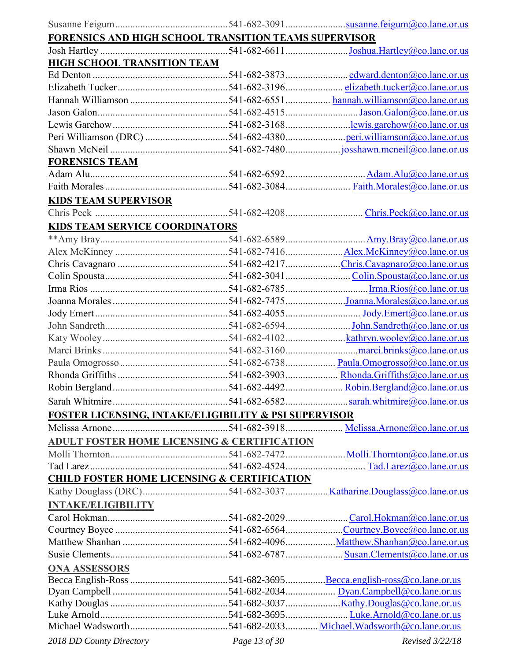| FORENSICS AND HIGH SCHOOL TRANSITION TEAMS SUPERVISOR  |               |                 |
|--------------------------------------------------------|---------------|-----------------|
|                                                        |               |                 |
| <b>HIGH SCHOOL TRANSITION TEAM</b>                     |               |                 |
|                                                        |               |                 |
|                                                        |               |                 |
|                                                        |               |                 |
|                                                        |               |                 |
|                                                        |               |                 |
|                                                        |               |                 |
|                                                        |               |                 |
| <b>FORENSICS TEAM</b>                                  |               |                 |
|                                                        |               |                 |
|                                                        |               |                 |
|                                                        |               |                 |
| <b>KIDS TEAM SUPERVISOR</b>                            |               |                 |
|                                                        |               |                 |
| <b>KIDS TEAM SERVICE COORDINATORS</b>                  |               |                 |
|                                                        |               |                 |
|                                                        |               |                 |
|                                                        |               |                 |
|                                                        |               |                 |
|                                                        |               |                 |
|                                                        |               |                 |
|                                                        |               |                 |
|                                                        |               |                 |
|                                                        |               |                 |
|                                                        |               |                 |
|                                                        |               |                 |
|                                                        |               |                 |
|                                                        |               |                 |
|                                                        |               |                 |
| FOSTER LICENSING, INTAKE/ELIGIBILITY & PSI SUPERVISOR  |               |                 |
|                                                        |               |                 |
| <b>ADULT FOSTER HOME LICENSING &amp; CERTIFICATION</b> |               |                 |
|                                                        |               |                 |
|                                                        |               |                 |
| <b>CHILD FOSTER HOME LICENSING &amp; CERTIFICATION</b> |               |                 |
|                                                        |               |                 |
| <b>INTAKE/ELIGIBILITY</b>                              |               |                 |
|                                                        |               |                 |
|                                                        |               |                 |
|                                                        |               |                 |
|                                                        |               |                 |
|                                                        |               |                 |
| <b>ONA ASSESSORS</b>                                   |               |                 |
|                                                        |               |                 |
|                                                        |               |                 |
|                                                        |               |                 |
|                                                        |               |                 |
|                                                        |               |                 |
| 2018 DD County Directory                               | Page 13 of 30 | Revised 3/22/18 |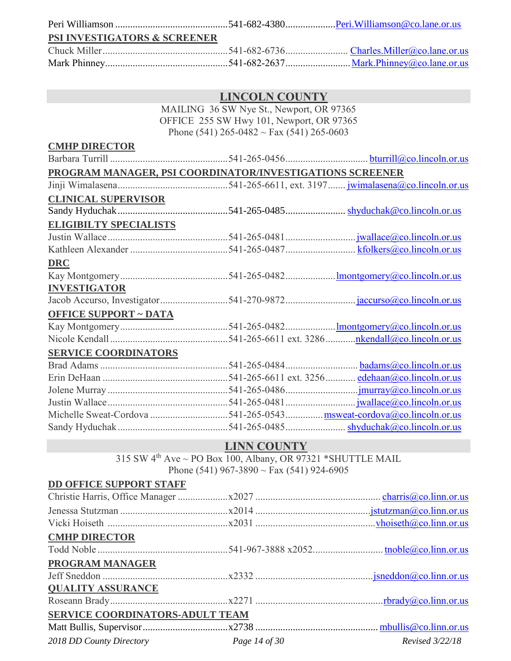| <b>PSI INVESTIGATORS &amp; SCREENER</b> |  |
|-----------------------------------------|--|
|                                         |  |
|                                         |  |

|                               | MAILING 36 SW Nye St., Newport, OR 97365                             |  |
|-------------------------------|----------------------------------------------------------------------|--|
|                               | OFFICE 255 SW Hwy 101, Newport, OR 97365                             |  |
|                               | Phone (541) 265-0482 ~ Fax (541) 265-0603                            |  |
| <b>CMHP DIRECTOR</b>          |                                                                      |  |
|                               |                                                                      |  |
|                               | PROGRAM MANAGER, PSI COORDINATOR/INVESTIGATIONS SCREENER             |  |
|                               |                                                                      |  |
| <b>CLINICAL SUPERVISOR</b>    |                                                                      |  |
|                               |                                                                      |  |
| <b>ELIGIBILTY SPECIALISTS</b> |                                                                      |  |
|                               |                                                                      |  |
|                               |                                                                      |  |
| <b>DRC</b>                    |                                                                      |  |
|                               |                                                                      |  |
| <b>INVESTIGATOR</b>           |                                                                      |  |
|                               |                                                                      |  |
| <b>OFFICE SUPPORT ~ DATA</b>  |                                                                      |  |
|                               |                                                                      |  |
|                               |                                                                      |  |
| <b>SERVICE COORDINATORS</b>   |                                                                      |  |
|                               |                                                                      |  |
|                               |                                                                      |  |
|                               |                                                                      |  |
|                               |                                                                      |  |
|                               | Michelle Sweat-Cordova 541-265-0543  msweat-cordova@co.lincoln.or.us |  |
|                               |                                                                      |  |
|                               | <b>I INIM COLIMITY</b>                                               |  |

#### **LINN COUNTY**

 $315$  SW  $4^{\text{th}}$  Ave  $\sim$  PO Box 100, Albany, OR 97321 \*SHUTTLE MAIL Phone (541) 967-3890 ~ Fax (541) 924-6905

# **DD OFFICE SUPPORT STAFF**

| <b>CMHP DIRECTOR</b>                   |                 |
|----------------------------------------|-----------------|
|                                        |                 |
| PROGRAM MANAGER                        |                 |
|                                        |                 |
| <b>QUALITY ASSURANCE</b>               |                 |
|                                        |                 |
| SERVICE COORDINATORS-ADULT TEAM        |                 |
|                                        |                 |
| 2018 DD County Directory Page 14 of 30 | Revised 3/22/18 |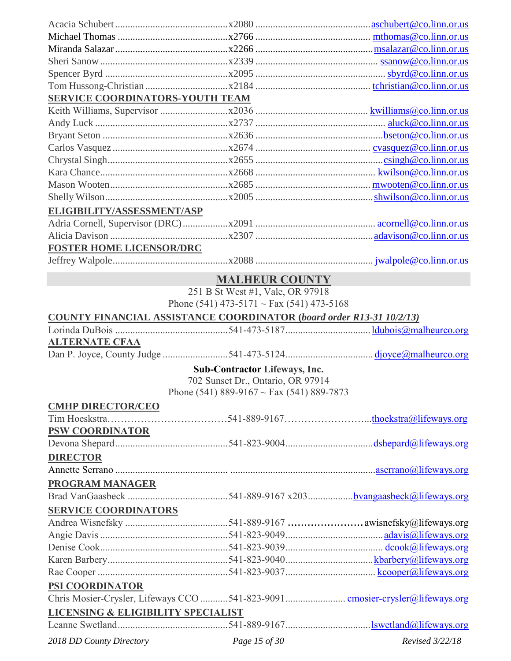| <b>SERVICE COORDINATORS-YOUTH TEAM</b> |                                                                             |  |
|----------------------------------------|-----------------------------------------------------------------------------|--|
|                                        |                                                                             |  |
|                                        |                                                                             |  |
|                                        |                                                                             |  |
|                                        |                                                                             |  |
|                                        |                                                                             |  |
|                                        |                                                                             |  |
|                                        |                                                                             |  |
|                                        |                                                                             |  |
| ELIGIBILITY/ASSESSMENT/ASP             |                                                                             |  |
|                                        |                                                                             |  |
|                                        |                                                                             |  |
|                                        |                                                                             |  |
| <b>FOSTER HOME LICENSOR/DRC</b>        |                                                                             |  |
|                                        |                                                                             |  |
|                                        | <b>MALHEUR COUNTY</b>                                                       |  |
|                                        | 251 B St West #1, Vale, OR 97918                                            |  |
|                                        | Phone (541) 473-5171 ~ Fax (541) 473-5168                                   |  |
|                                        | <b>COUNTY FINANCIAL ASSISTANCE COORDINATOR (board order R13-31 10/2/13)</b> |  |
|                                        |                                                                             |  |
| <b>ALTERNATE CFAA</b>                  |                                                                             |  |
|                                        |                                                                             |  |
|                                        | <b>Sub-Contractor Lifeways, Inc.</b>                                        |  |
|                                        | 702 Sunset Dr., Ontario, OR 97914                                           |  |
|                                        | Phone (541) 889-9167 ~ Fax (541) 889-7873                                   |  |
| <b>CMHP DIRECTOR/CEO</b>               |                                                                             |  |
|                                        |                                                                             |  |
| <b>PSW COORDINATOR</b>                 |                                                                             |  |
|                                        |                                                                             |  |
|                                        |                                                                             |  |
| <b>DIRECTOR</b>                        |                                                                             |  |
|                                        |                                                                             |  |
| PROGRAM MANAGER                        |                                                                             |  |
|                                        |                                                                             |  |
| <b>SERVICE COORDINATORS</b>            |                                                                             |  |
|                                        |                                                                             |  |
|                                        |                                                                             |  |
|                                        |                                                                             |  |
|                                        |                                                                             |  |
|                                        |                                                                             |  |
| PSI COORDINATOR                        |                                                                             |  |
|                                        |                                                                             |  |
| LICENSING & ELIGIBILITY SPECIALIST     |                                                                             |  |
|                                        |                                                                             |  |
|                                        |                                                                             |  |

*2018 DD County Directory Page 15 of 30 Revised 3/22/18*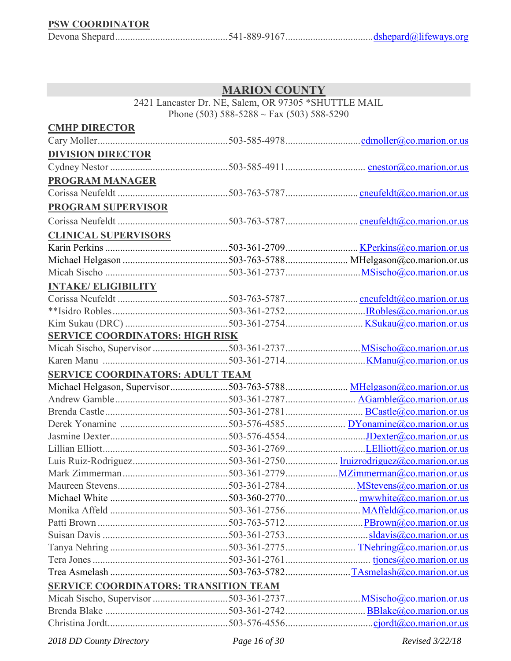### **PSW COORDINATOR**

|--|--|--|--|

### **MARION COUNTY**

2421 Lancaster Dr. NE, Salem, OR 97305 \*SHUTTLE MAIL Phone (503) 588-5288 ~ Fax (503) 588-5290

| <b>CMHP DIRECTOR</b>                    |                                              |  |
|-----------------------------------------|----------------------------------------------|--|
|                                         |                                              |  |
| <b>DIVISION DIRECTOR</b>                |                                              |  |
|                                         |                                              |  |
| <b>PROGRAM MANAGER</b>                  |                                              |  |
|                                         |                                              |  |
| <b>PROGRAM SUPERVISOR</b>               |                                              |  |
|                                         |                                              |  |
| <b>CLINICAL SUPERVISORS</b>             |                                              |  |
|                                         |                                              |  |
|                                         |                                              |  |
|                                         |                                              |  |
| <b>INTAKE/ ELIGIBILITY</b>              |                                              |  |
|                                         |                                              |  |
|                                         |                                              |  |
|                                         |                                              |  |
| <b>SERVICE COORDINATORS: HIGH RISK</b>  |                                              |  |
|                                         |                                              |  |
|                                         |                                              |  |
| <b>SERVICE COORDINATORS: ADULT TEAM</b> |                                              |  |
|                                         |                                              |  |
|                                         |                                              |  |
|                                         |                                              |  |
|                                         |                                              |  |
|                                         |                                              |  |
|                                         |                                              |  |
|                                         |                                              |  |
|                                         |                                              |  |
|                                         |                                              |  |
|                                         |                                              |  |
|                                         |                                              |  |
|                                         |                                              |  |
|                                         |                                              |  |
|                                         |                                              |  |
|                                         |                                              |  |
|                                         |                                              |  |
|                                         |                                              |  |
|                                         | <b>SERVICE COORDINATORS: TRANSITION TEAM</b> |  |
|                                         |                                              |  |
|                                         |                                              |  |

*2018 DD County Directory Page 16 of 30 Revised 3/22/18*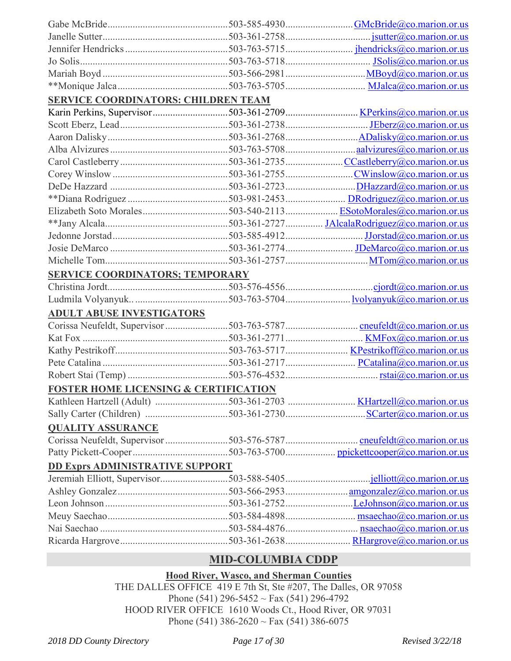| <b>SERVICE COORDINATORS: CHILDREN TEAM</b>       |                                                                     |
|--------------------------------------------------|---------------------------------------------------------------------|
|                                                  | Karin Perkins, Supervisor503-361-2709 KPerkins@co.marion.or.us      |
|                                                  |                                                                     |
|                                                  |                                                                     |
|                                                  |                                                                     |
|                                                  |                                                                     |
|                                                  |                                                                     |
|                                                  |                                                                     |
|                                                  |                                                                     |
|                                                  |                                                                     |
|                                                  |                                                                     |
|                                                  |                                                                     |
|                                                  |                                                                     |
|                                                  |                                                                     |
| <b>SERVICE COORDINATORS; TEMPORARY</b>           |                                                                     |
|                                                  |                                                                     |
|                                                  |                                                                     |
| <b>ADULT ABUSE INVESTIGATORS</b>                 |                                                                     |
|                                                  | Corissa Neufeldt, Supervisor 503-763-5787 cneufeldt@co.marion.or.us |
|                                                  |                                                                     |
|                                                  |                                                                     |
|                                                  |                                                                     |
|                                                  |                                                                     |
| <b>FOSTER HOME LICENSING &amp; CERTIFICATION</b> |                                                                     |
|                                                  | Kathleen Hartzell (Adult) 503-361-2703  KHartzell@co.marion.or.us   |
|                                                  |                                                                     |
| <b>QUALITY ASSURANCE</b>                         |                                                                     |
|                                                  |                                                                     |
|                                                  |                                                                     |
| <b>DD Exprs ADMINISTRATIVE SUPPORT</b>           |                                                                     |
|                                                  |                                                                     |
|                                                  |                                                                     |
|                                                  |                                                                     |
|                                                  |                                                                     |
|                                                  |                                                                     |
|                                                  |                                                                     |
|                                                  |                                                                     |

### **MID-COLUMBIA CDDP**

### **Hood River, Wasco, and Sherman Counties**

THE DALLES OFFICE 419 E 7th St, Ste #207, The Dalles, OR 97058 Phone (541) 296-5452 ~ Fax (541) 296-4792 HOOD RIVER OFFICE 1610 Woods Ct., Hood River, OR 97031 Phone (541) 386-2620 ~ Fax (541) 386-6075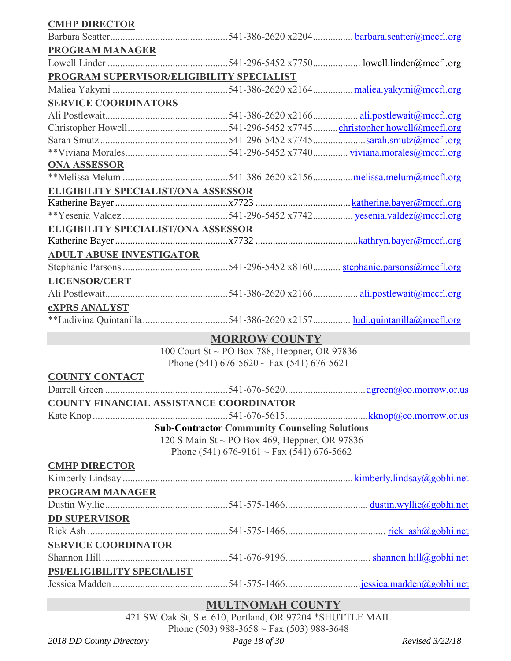| <b>CMHP DIRECTOR</b>                       |                                                      |  |
|--------------------------------------------|------------------------------------------------------|--|
|                                            |                                                      |  |
| <b>PROGRAM MANAGER</b>                     |                                                      |  |
|                                            |                                                      |  |
| PROGRAM SUPERVISOR/ELIGIBILITY SPECIALIST  |                                                      |  |
|                                            |                                                      |  |
| <b>SERVICE COORDINATORS</b>                |                                                      |  |
|                                            |                                                      |  |
|                                            |                                                      |  |
|                                            |                                                      |  |
|                                            |                                                      |  |
| <b>ONA ASSESSOR</b>                        |                                                      |  |
|                                            |                                                      |  |
| <b>ELIGIBILITY SPECIALIST/ONA ASSESSOR</b> |                                                      |  |
|                                            |                                                      |  |
|                                            |                                                      |  |
| <b>ELIGIBILITY SPECIALIST/ONA ASSESSOR</b> |                                                      |  |
|                                            |                                                      |  |
| <b>ADULT ABUSE INVESTIGATOR</b>            |                                                      |  |
|                                            |                                                      |  |
| <b>LICENSOR/CERT</b>                       |                                                      |  |
|                                            |                                                      |  |
| <b>eXPRS ANALYST</b>                       |                                                      |  |
|                                            |                                                      |  |
|                                            | <b>MORROW COUNTY</b>                                 |  |
|                                            | 100 Court St ~ PO Box 788, Heppner, OR 97836         |  |
|                                            | Phone (541) $676-5620 \sim \text{Fax}(541) 676-5621$ |  |
| <b>COUNTY CONTACT</b>                      |                                                      |  |
|                                            |                                                      |  |
| COUNTY FINANCIAL ASSISTANCE COORDINATOR    |                                                      |  |
|                                            |                                                      |  |
|                                            | <b>Sub-Contractor Community Counseling Solutions</b> |  |
|                                            | 120 S Main St ~ PO Box 469, Heppner, OR 97836        |  |
|                                            | Phone (541) 676-9161 ~ Fax (541) 676-5662            |  |
| <b>CMHP DIRECTOR</b>                       |                                                      |  |
|                                            |                                                      |  |
| <b>PROGRAM MANAGER</b>                     |                                                      |  |
|                                            |                                                      |  |
| <b>DD SUPERVISOR</b>                       |                                                      |  |
|                                            |                                                      |  |
| <b>SERVICE COORDINATOR</b>                 |                                                      |  |
|                                            |                                                      |  |
| PSI/ELIGIBILITY SPECIALIST                 |                                                      |  |
|                                            |                                                      |  |

### **MULTNOMAH COUNTY**

421 SW Oak St, Ste. 610, Portland, OR 97204 \*SHUTTLE MAIL Phone (503) 988-3658 ~ Fax (503) 988-3648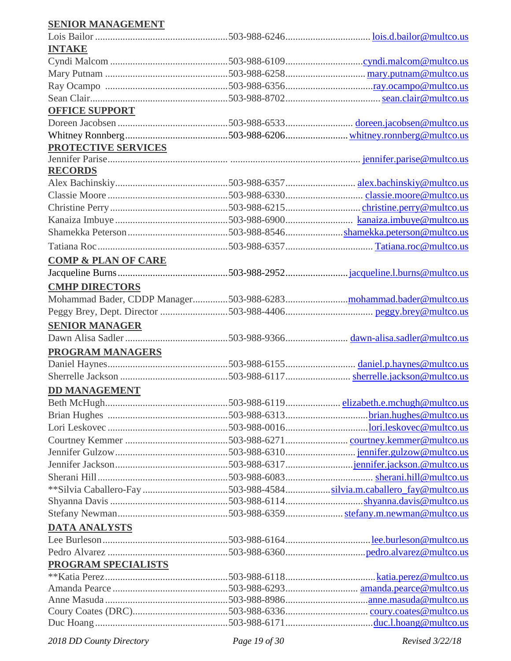### **SENIOR MANAGEMENT**

| <b>INTAKE</b>                  |                                                                     |
|--------------------------------|---------------------------------------------------------------------|
|                                |                                                                     |
|                                |                                                                     |
|                                |                                                                     |
|                                |                                                                     |
| <b>OFFICE SUPPORT</b>          |                                                                     |
|                                |                                                                     |
|                                |                                                                     |
| PROTECTIVE SERVICES            |                                                                     |
|                                |                                                                     |
| <b>RECORDS</b>                 |                                                                     |
|                                |                                                                     |
|                                |                                                                     |
|                                |                                                                     |
|                                |                                                                     |
|                                |                                                                     |
|                                |                                                                     |
|                                |                                                                     |
| <b>COMP &amp; PLAN OF CARE</b> |                                                                     |
|                                |                                                                     |
| <b>CMHP DIRECTORS</b>          |                                                                     |
|                                |                                                                     |
|                                |                                                                     |
| <b>SENIOR MANAGER</b>          |                                                                     |
|                                |                                                                     |
| <b>PROGRAM MANAGERS</b>        |                                                                     |
|                                |                                                                     |
|                                |                                                                     |
| <b>DD MANAGEMENT</b>           |                                                                     |
|                                |                                                                     |
|                                |                                                                     |
|                                |                                                                     |
|                                |                                                                     |
|                                |                                                                     |
|                                |                                                                     |
|                                |                                                                     |
|                                | **Silvia Caballero-Fay 503-988-4584silvia.m.caballero_fay@multco.us |
|                                |                                                                     |
|                                |                                                                     |
| <b>DATA ANALYSTS</b>           |                                                                     |
|                                |                                                                     |
|                                |                                                                     |
| <b>PROGRAM SPECIALISTS</b>     |                                                                     |
|                                |                                                                     |
|                                |                                                                     |
|                                |                                                                     |
|                                |                                                                     |
|                                |                                                                     |

*2018 DD County Directory Page 19 of 30 Revised 3/22/18*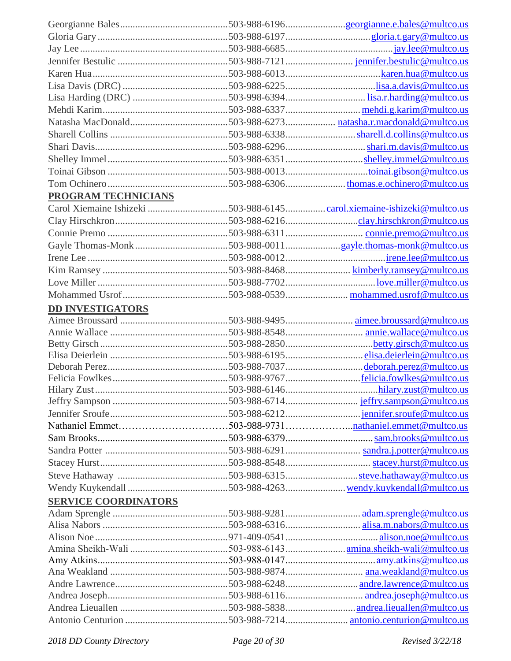| <b>PROGRAM TECHNICIANS</b>  |                                                                       |
|-----------------------------|-----------------------------------------------------------------------|
|                             | Carol Xiemaine Ishizeki 503-988-6145carol.xiemaine-ishizeki@multco.us |
|                             |                                                                       |
|                             |                                                                       |
|                             |                                                                       |
|                             |                                                                       |
|                             |                                                                       |
|                             |                                                                       |
|                             |                                                                       |
|                             |                                                                       |
| <b>DD INVESTIGATORS</b>     |                                                                       |
|                             |                                                                       |
|                             |                                                                       |
|                             |                                                                       |
|                             |                                                                       |
|                             |                                                                       |
|                             |                                                                       |
|                             |                                                                       |
|                             |                                                                       |
|                             |                                                                       |
|                             |                                                                       |
|                             |                                                                       |
|                             |                                                                       |
|                             |                                                                       |
|                             |                                                                       |
| <b>SERVICE COORDINATORS</b> |                                                                       |
|                             |                                                                       |
|                             |                                                                       |
|                             |                                                                       |
|                             |                                                                       |
|                             |                                                                       |
|                             |                                                                       |
|                             |                                                                       |
|                             |                                                                       |
|                             |                                                                       |
|                             |                                                                       |
|                             |                                                                       |

*2018 DD County Directory Page 20 of 30 Revised 3/22/18*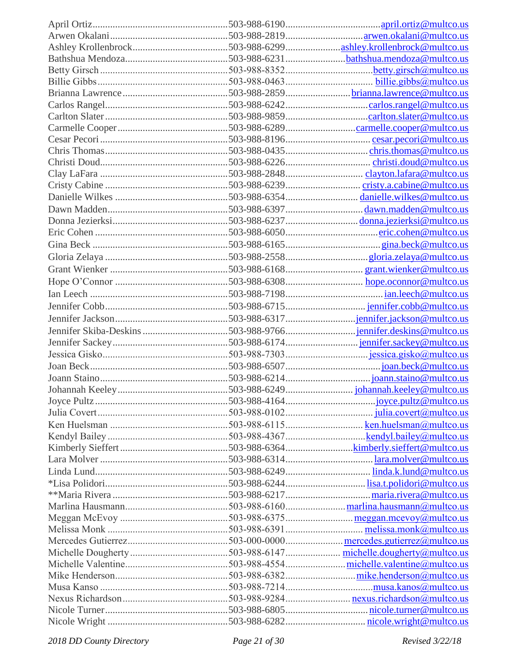*2018 DD County Directory Page 21 of 30 Revised 3/22/18*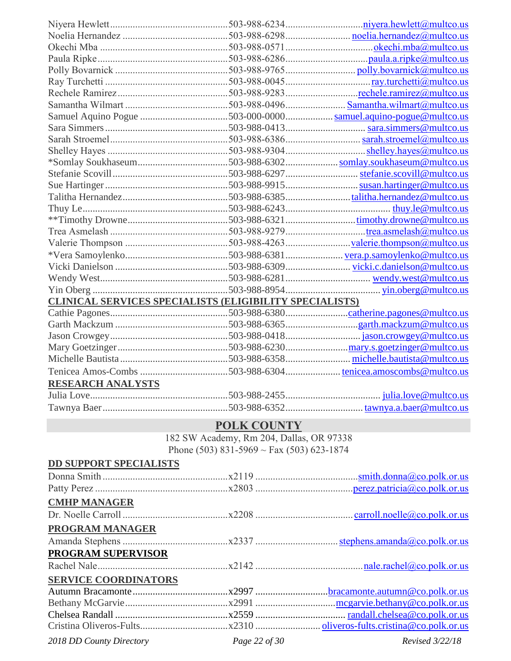|                          | <b>CLINICAL SERVICES SPECIALISTS (ELIGIBILITY SPECIALISTS)</b> |                                                            |
|--------------------------|----------------------------------------------------------------|------------------------------------------------------------|
|                          |                                                                |                                                            |
|                          |                                                                |                                                            |
|                          |                                                                |                                                            |
|                          |                                                                |                                                            |
|                          |                                                                |                                                            |
|                          |                                                                | Tenicea Amos-Combs 503-988-6304tenicea.amoscombs@multco.us |
| <b>RESEARCH ANALYSTS</b> |                                                                |                                                            |
|                          |                                                                |                                                            |
|                          |                                                                |                                                            |

### **POLK COUNTY**

182 SW Academy, Rm 204, Dallas, OR 97338

Phone (503) 831-5969 ~ Fax (503) 623-1874

| <b>DD SUPPORT SPECIALISTS</b> |  |
|-------------------------------|--|
|                               |  |
|                               |  |
| <b>CMHP MANAGER</b>           |  |
|                               |  |
| PROGRAM MANAGER               |  |
|                               |  |
| PROGRAM SUPERVISOR            |  |
|                               |  |
| <b>SERVICE COORDINATORS</b>   |  |
|                               |  |
|                               |  |
|                               |  |
|                               |  |

*2018 DD County Directory Page 22 of 30 Revised 3/22/18*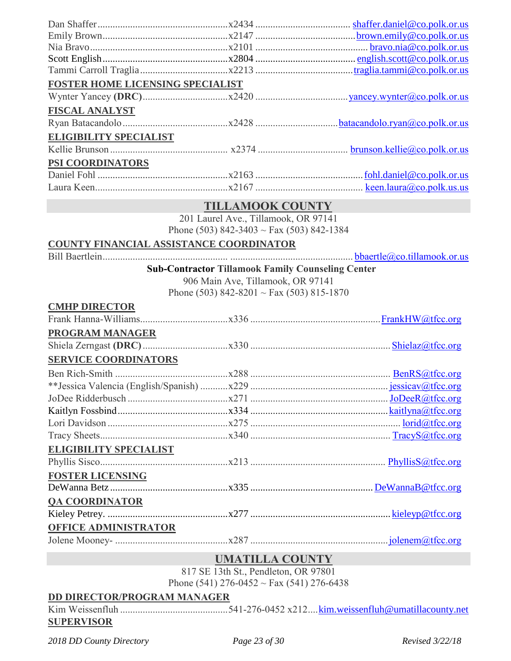| FOSTER HOME LICENSING SPECIALIST        |                                                          |  |
|-----------------------------------------|----------------------------------------------------------|--|
|                                         |                                                          |  |
| <b>FISCAL ANALYST</b>                   |                                                          |  |
|                                         |                                                          |  |
| <b>ELIGIBILITY SPECIALIST</b>           |                                                          |  |
|                                         |                                                          |  |
| PSI COORDINATORS                        |                                                          |  |
|                                         |                                                          |  |
|                                         |                                                          |  |
|                                         | <b>TILLAMOOK COUNTY</b>                                  |  |
|                                         | 201 Laurel Ave., Tillamook, OR 97141                     |  |
|                                         | Phone (503) 842-3403 ~ Fax (503) 842-1384                |  |
| COUNTY FINANCIAL ASSISTANCE COORDINATOR |                                                          |  |
|                                         |                                                          |  |
|                                         | <b>Sub-Contractor Tillamook Family Counseling Center</b> |  |
|                                         | 906 Main Ave, Tillamook, OR 97141                        |  |
|                                         | Phone (503) 842-8201 ~ Fax (503) 815-1870                |  |
| <b>CMHP DIRECTOR</b>                    |                                                          |  |
|                                         |                                                          |  |
| <b>PROGRAM MANAGER</b>                  |                                                          |  |
|                                         |                                                          |  |
| <b>SERVICE COORDINATORS</b>             |                                                          |  |
|                                         |                                                          |  |
|                                         |                                                          |  |
|                                         |                                                          |  |
|                                         |                                                          |  |
|                                         |                                                          |  |
|                                         |                                                          |  |
| <b>ELIGIBILITY SPECIALIST</b>           |                                                          |  |
|                                         |                                                          |  |
| <b>FOSTER LICENSING</b>                 |                                                          |  |
|                                         |                                                          |  |
| <b>QA COORDINATOR</b>                   |                                                          |  |
|                                         |                                                          |  |
|                                         |                                                          |  |
| <b>OFFICE ADMINISTRATOR</b>             |                                                          |  |
|                                         |                                                          |  |
|                                         | <b>UMATILLA COUNTY</b>                                   |  |
|                                         | $017$ CE 124. $\Omega_{\rm t}$ Developed OD 07001        |  |

817 SE 13th St., Pendleton, OR 97801 Phone (541) 276-0452 ~ Fax (541) 276-6438

### **DD DIRECTOR/PROGRAM MANAGER**

Kim Weissenfluh ...........................................541-276-0452 x212....[kim.weissenfluh@umatillacounty.net](mailto:kim.weissenfluh@umatillacounty.net) **SUPERVISOR**

*2018 DD County Directory Page 23 of 30 Revised 3/22/18*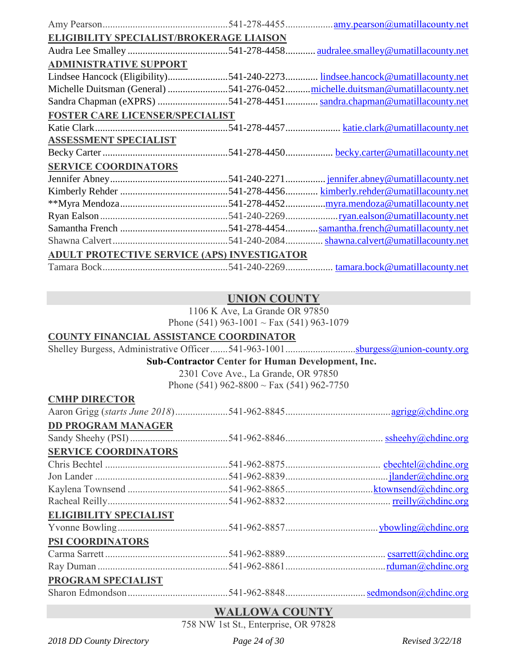| <b>ELIGIBILITY SPECIALIST/BROKERAGE LIAISON</b>    |                                       |
|----------------------------------------------------|---------------------------------------|
|                                                    | audralee.smalley@umatillacounty.net   |
|                                                    |                                       |
|                                                    | lindsee.hancock@umatillacounty.net    |
| Michelle Duitsman (General) 541-276-0452           | .michelle.duitsman@umatillacounty.net |
| Sandra Chapman (eXPRS) 541-278-4451                | sandra.chapman@umatillacounty.net     |
| FOSTER CARE LICENSER/SPECIALIST                    |                                       |
|                                                    |                                       |
|                                                    |                                       |
|                                                    | becky.carter@umatillacounty.net       |
|                                                    |                                       |
|                                                    | . jennifer.abney@umatillacounty.net   |
|                                                    | kimberly.rehder@umatillacounty.net    |
|                                                    | .myra.mendoza@umatillacounty.net      |
|                                                    | <u>ryan.ealson@umatillacounty.net</u> |
|                                                    | samantha.french@umatillacounty.net    |
|                                                    | shawna.calvert@umatillacounty.net     |
| <b>ADULT PROTECTIVE SERVICE (APS) INVESTIGATOR</b> |                                       |
|                                                    | tamara.bock@umatillacounty.net        |
|                                                    | .541-240-2271<br>$.541 - 240 - 2084$  |

### **UNION COUNTY**

1106 K Ave, La Grande OR 97850 Phone (541) 963-1001 ~ Fax (541) 963-1079

#### **COUNTY FINANCIAL ASSISTANCE COORDINATOR**

Shelley Burgess, Administrative Officer.......541-963-1001...............................<u>sburgess@union-co</u>unty.org **Sub-Contractor Center for Human Development, Inc.**

> 2301 Cove Ave., La Grande, OR 97850 Phone (541) 962-8800  $\sim$  Fax (541) 962-7750

| <b>CMHP DIRECTOR</b>      |  |
|---------------------------|--|
|                           |  |
| <b>DD PROGRAM MANAGER</b> |  |
|                           |  |

#### **SERVICE COORDINATORS**

| <b>SERVICE COORDINATORS</b>   |  |
|-------------------------------|--|
|                               |  |
|                               |  |
|                               |  |
|                               |  |
| <b>ELIGIBILITY SPECIALIST</b> |  |
|                               |  |

### **PSI COORDINATORS**

| <u>TUL COOLWITH THOUGH</u>   |  |
|------------------------------|--|
|                              |  |
|                              |  |
| <b>BBOOD</b> IS CREAT IT TOP |  |

#### **PROGRAM SPECIALIST**

Sharon Edmondson........................................541-962-8848...............................[.sedmondson@chdinc.org](mailto:sedmondson@chdinc.org)

### **WALLOWA COUNTY**

758 NW 1st St., Enterprise, OR 97828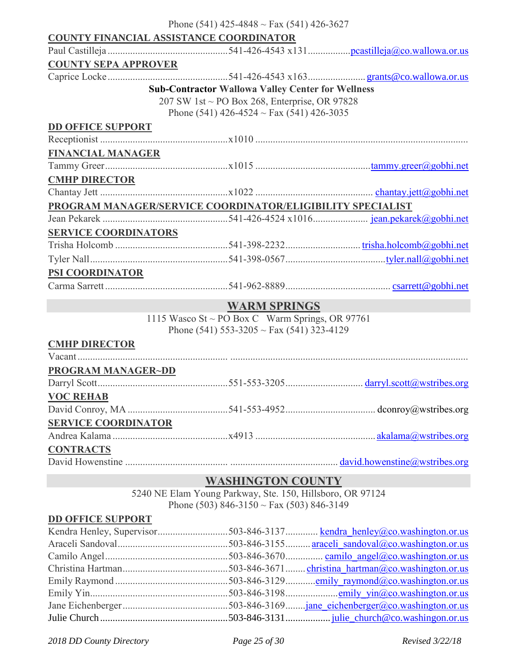|                             | Phone (541) 425-4848 ~ Fax (541) 426-3627                  |  |
|-----------------------------|------------------------------------------------------------|--|
|                             | <b>COUNTY FINANCIAL ASSISTANCE COORDINATOR</b>             |  |
|                             |                                                            |  |
| <b>COUNTY SEPA APPROVER</b> |                                                            |  |
|                             |                                                            |  |
|                             | <b>Sub-Contractor Wallowa Valley Center for Wellness</b>   |  |
|                             | 207 SW 1st ~ PO Box 268, Enterprise, OR 97828              |  |
|                             | Phone (541) 426-4524 $\sim$ Fax (541) 426-3035             |  |
| <b>DD OFFICE SUPPORT</b>    |                                                            |  |
|                             |                                                            |  |
| <b>FINANCIAL MANAGER</b>    |                                                            |  |
|                             |                                                            |  |
| <b>CMHP DIRECTOR</b>        |                                                            |  |
|                             |                                                            |  |
|                             | PROGRAM MANAGER/SERVICE COORDINATOR/ELIGIBILITY SPECIALIST |  |
|                             |                                                            |  |
| <b>SERVICE COORDINATORS</b> |                                                            |  |
|                             |                                                            |  |
|                             |                                                            |  |
| <b>PSI COORDINATOR</b>      |                                                            |  |
|                             |                                                            |  |
|                             | <b>WARM SPRINGS</b>                                        |  |

1115 Wasco St ~ PO Box C Warm Springs, OR 97761 Phone (541) 553-3205 ~ Fax (541) 323-4129

#### **CMHP DIRECTOR**

| <b>PROGRAM MANAGER~DD</b>                                                                                                                                                                                                                                                                                                          |                                                                                                                                                                                                                                                                                                                     |
|------------------------------------------------------------------------------------------------------------------------------------------------------------------------------------------------------------------------------------------------------------------------------------------------------------------------------------|---------------------------------------------------------------------------------------------------------------------------------------------------------------------------------------------------------------------------------------------------------------------------------------------------------------------|
|                                                                                                                                                                                                                                                                                                                                    |                                                                                                                                                                                                                                                                                                                     |
| <b>VOC REHAB</b>                                                                                                                                                                                                                                                                                                                   |                                                                                                                                                                                                                                                                                                                     |
|                                                                                                                                                                                                                                                                                                                                    |                                                                                                                                                                                                                                                                                                                     |
| <b>SERVICE COORDINATOR</b>                                                                                                                                                                                                                                                                                                         |                                                                                                                                                                                                                                                                                                                     |
|                                                                                                                                                                                                                                                                                                                                    |                                                                                                                                                                                                                                                                                                                     |
| <b>CONTRACTS</b>                                                                                                                                                                                                                                                                                                                   |                                                                                                                                                                                                                                                                                                                     |
| $\mathbf{D}$ $\mathbf{I}$ $\mathbf{I}$ $\mathbf{I}$ $\mathbf{I}$ $\mathbf{I}$ $\mathbf{I}$ $\mathbf{I}$ $\mathbf{I}$ $\mathbf{I}$ $\mathbf{I}$ $\mathbf{I}$ $\mathbf{I}$ $\mathbf{I}$ $\mathbf{I}$ $\mathbf{I}$ $\mathbf{I}$ $\mathbf{I}$ $\mathbf{I}$ $\mathbf{I}$ $\mathbf{I}$ $\mathbf{I}$ $\mathbf{I}$ $\mathbf{I}$ $\mathbf{$ | $\frac{1}{2}$ $\frac{1}{2}$ $\frac{1}{2}$ $\frac{1}{2}$ $\frac{1}{2}$ $\frac{1}{2}$ $\frac{1}{2}$ $\frac{1}{2}$ $\frac{1}{2}$ $\frac{1}{2}$ $\frac{1}{2}$ $\frac{1}{2}$ $\frac{1}{2}$ $\frac{1}{2}$ $\frac{1}{2}$ $\frac{1}{2}$ $\frac{1}{2}$ $\frac{1}{2}$ $\frac{1}{2}$ $\frac{1}{2}$ $\frac{1}{2}$ $\frac{1}{2}$ |

David Howenstine ......................................... ........................................... [david.howenstine@wstribes.org](mailto:david.howenstine@wstribes.org)

### **WASHINGTON COUNTY**

5240 NE Elam Young Parkway, Ste. 150, Hillsboro, OR 97124 Phone (503) 846-3150 ~ Fax (503) 846-3149

#### **DD OFFICE SUPPORT**

*2018 DD County Directory Page 25 of 30 Revised 3/22/18*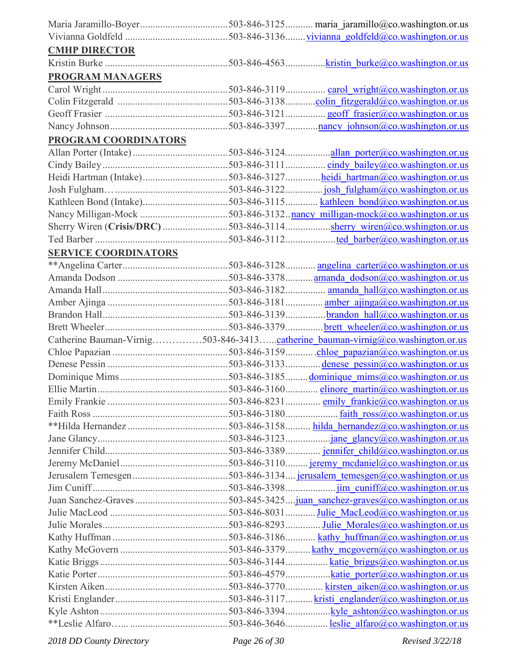| <b>CMHP DIRECTOR</b>        |                                                                                |
|-----------------------------|--------------------------------------------------------------------------------|
|                             |                                                                                |
| <b>PROGRAM MANAGERS</b>     |                                                                                |
|                             |                                                                                |
|                             |                                                                                |
|                             |                                                                                |
|                             |                                                                                |
| PROGRAM COORDINATORS        |                                                                                |
|                             |                                                                                |
|                             |                                                                                |
|                             | Heidi Hartman (Intake)503-846-3127heidi hartman@co.washington.or.us            |
|                             |                                                                                |
|                             |                                                                                |
|                             |                                                                                |
|                             |                                                                                |
|                             |                                                                                |
|                             |                                                                                |
| <b>SERVICE COORDINATORS</b> |                                                                                |
|                             |                                                                                |
|                             |                                                                                |
|                             |                                                                                |
|                             |                                                                                |
|                             |                                                                                |
|                             |                                                                                |
|                             | Catherine Bauman-Virnig503-846-3413catherine bauman-virnig@co.washington.or.us |
|                             |                                                                                |
|                             |                                                                                |
|                             |                                                                                |
|                             |                                                                                |
|                             |                                                                                |
|                             |                                                                                |
|                             |                                                                                |
|                             |                                                                                |
|                             |                                                                                |
|                             |                                                                                |
|                             |                                                                                |
|                             |                                                                                |
|                             |                                                                                |
|                             |                                                                                |
|                             |                                                                                |
|                             |                                                                                |
|                             |                                                                                |
|                             |                                                                                |
|                             |                                                                                |
|                             |                                                                                |
|                             |                                                                                |
|                             |                                                                                |
|                             |                                                                                |

*2018 DD County Directory Page 26 of 30 Revised 3/22/18*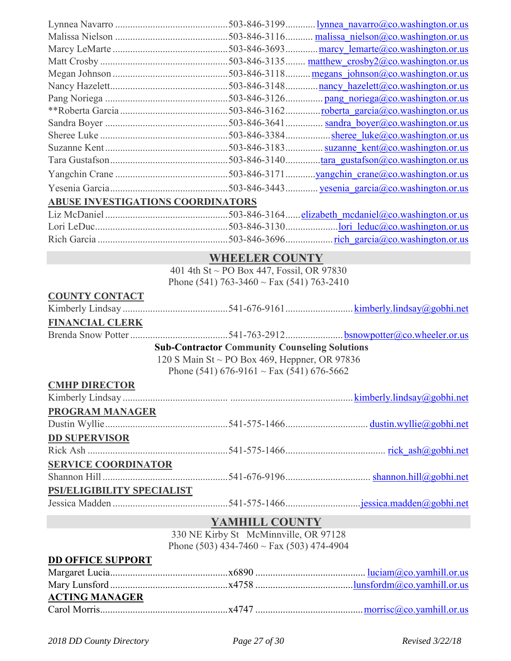| <b>ABUSE INVESTIGATIONS COORDINATORS</b> |                                                      |  |
|------------------------------------------|------------------------------------------------------|--|
|                                          |                                                      |  |
|                                          |                                                      |  |
|                                          |                                                      |  |
|                                          | <b>WHEELER COUNTY</b>                                |  |
|                                          | 401 4th St ~ PO Box 447, Fossil, OR 97830            |  |
|                                          | Phone (541) 763-3460 ~ Fax (541) 763-2410            |  |
| <b>COUNTY CONTACT</b>                    |                                                      |  |
|                                          |                                                      |  |
| <b>FINANCIAL CLERK</b>                   |                                                      |  |
|                                          |                                                      |  |
|                                          | <b>Sub-Contractor Community Counseling Solutions</b> |  |
|                                          | 120 S Main St ~ PO Box 469, Heppner, OR 97836        |  |
|                                          | Phone (541) 676-9161 ~ Fax (541) 676-5662            |  |
| <b>CMHP DIRECTOR</b>                     |                                                      |  |
|                                          |                                                      |  |
| <b>PROGRAM MANAGER</b>                   |                                                      |  |
|                                          |                                                      |  |
| <b>DD SUPERVISOR</b>                     |                                                      |  |
|                                          |                                                      |  |
| <b>SERVICE COORDINATOR</b>               |                                                      |  |
|                                          |                                                      |  |
| PSI/ELIGIBILITY SPECIALIST               |                                                      |  |
|                                          |                                                      |  |
|                                          |                                                      |  |
|                                          | YAMHILL COUNTY                                       |  |
|                                          | 330 NE Kirby St McMinnville, OR 97128                |  |
|                                          | Phone (503) 434-7460 ~ Fax (503) 474-4904            |  |

#### **DD OFFICE SUPPORT**

| <b>ACTING MANAGER</b> |  |
|-----------------------|--|
|                       |  |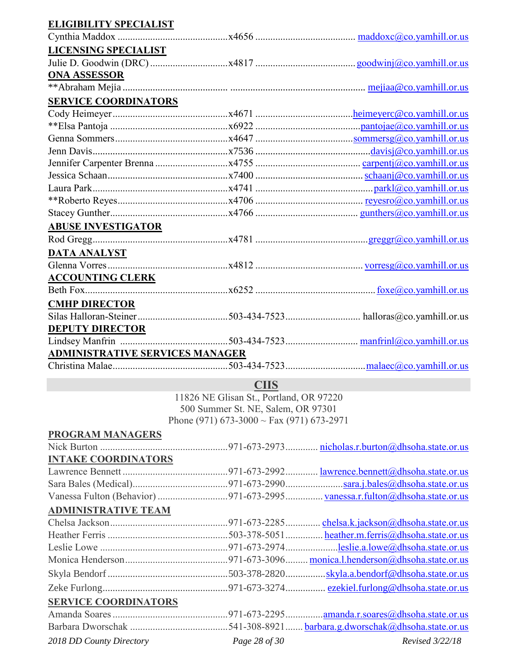### **ELIGIBILITY SPECIALIST**

| <b>LICENSING SPECIALIST</b>            |  |
|----------------------------------------|--|
|                                        |  |
| <b>ONA ASSESSOR</b>                    |  |
|                                        |  |
| <b>SERVICE COORDINATORS</b>            |  |
|                                        |  |
|                                        |  |
|                                        |  |
|                                        |  |
|                                        |  |
|                                        |  |
|                                        |  |
|                                        |  |
|                                        |  |
| <b>ABUSE INVESTIGATOR</b>              |  |
|                                        |  |
| <b>DATA ANALYST</b>                    |  |
|                                        |  |
| <b>ACCOUNTING CLERK</b>                |  |
|                                        |  |
| <b>CMHP DIRECTOR</b>                   |  |
|                                        |  |
| <b>DEPUTY DIRECTOR</b>                 |  |
|                                        |  |
| <b>ADMINISTRATIVE SERVICES MANAGER</b> |  |
|                                        |  |
|                                        |  |

**CIIS**

11826 NE Glisan St., Portland, OR 97220 500 Summer St. NE, Salem, OR 97301 Phone (971) 673-3000 ~ Fax (971) 673-2971

| <b>PROGRAM MANAGERS</b>     |                                     |
|-----------------------------|-------------------------------------|
|                             |                                     |
| <b>INTAKE COORDINATORS</b>  |                                     |
|                             |                                     |
|                             |                                     |
|                             |                                     |
| <b>ADMINISTRATIVE TEAM</b>  |                                     |
|                             |                                     |
|                             |                                     |
|                             |                                     |
|                             |                                     |
|                             |                                     |
|                             |                                     |
| <b>SERVICE COORDINATORS</b> |                                     |
|                             | .amanda.r.soares@dhsoha.state.or.us |
|                             |                                     |

*2018 DD County Directory Page 28 of 30 Revised 3/22/18*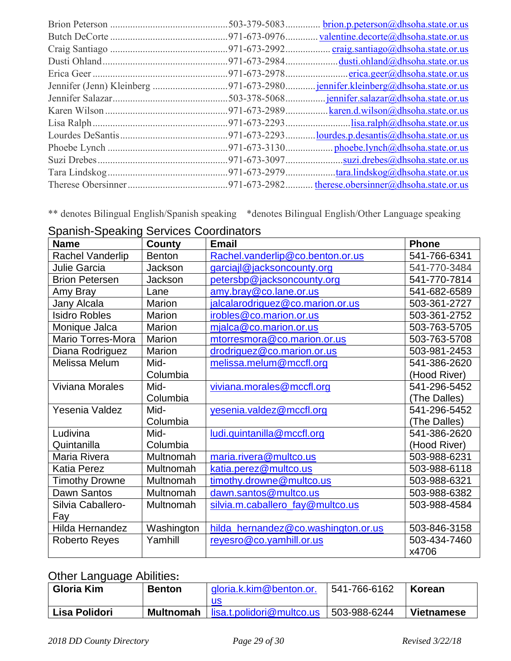|  | brion.p.peterson@dhsoha.state.or.us |
|--|-------------------------------------|
|  |                                     |
|  |                                     |
|  |                                     |
|  |                                     |
|  |                                     |
|  |                                     |
|  |                                     |
|  |                                     |
|  |                                     |
|  |                                     |
|  |                                     |
|  |                                     |
|  |                                     |
|  |                                     |

\*\* denotes Bilingual English/Spanish speaking \*denotes Bilingual English/Other Language speaking

| <b>Name</b>              | County        | <b>Email</b>                        | <b>Phone</b> |
|--------------------------|---------------|-------------------------------------|--------------|
| Rachel Vanderlip         | <b>Benton</b> | Rachel.vanderlip@co.benton.or.us    | 541-766-6341 |
| Julie Garcia             | Jackson       | garciajl@jacksoncounty.org          | 541-770-3484 |
| <b>Brion Petersen</b>    | Jackson       | petersbp@jacksoncounty.org          | 541-770-7814 |
| Amy Bray                 | Lane          | amy.bray@co.lane.or.us              | 541-682-6589 |
| Jany Alcala              | Marion        | jalcalarodriguez@co.marion.or.us    | 503-361-2727 |
| <b>Isidro Robles</b>     | <b>Marion</b> | irobles@co.marion.or.us             | 503-361-2752 |
| Monique Jalca            | <b>Marion</b> | $mialca@co.marion.$ or.us           | 503-763-5705 |
| <b>Mario Torres-Mora</b> | Marion        | mtorresmora@co.marion.or.us         | 503-763-5708 |
| Diana Rodriguez          | <b>Marion</b> | drodriguez@co.marion.or.us          | 503-981-2453 |
| Melissa Melum            | Mid-          | melissa.melum@mccfl.org             | 541-386-2620 |
|                          | Columbia      |                                     | (Hood River) |
| <b>Viviana Morales</b>   | Mid-          | viviana.morales@mccfl.org           | 541-296-5452 |
|                          | Columbia      |                                     | (The Dalles) |
| Yesenia Valdez           | Mid-          | yesenia.valdez@mccfl.org            | 541-296-5452 |
|                          | Columbia      |                                     | (The Dalles) |
| Ludivina                 | Mid-          | ludi.quintanilla@mccfl.org          | 541-386-2620 |
| Quintanilla              | Columbia      |                                     | (Hood River) |
| Maria Rivera             | Multnomah     | maria.rivera@multco.us              | 503-988-6231 |
| <b>Katia Perez</b>       | Multnomah     | katia.perez@multco.us               | 503-988-6118 |
| <b>Timothy Drowne</b>    | Multnomah     | timothy.drowne@multco.us            | 503-988-6321 |
| Dawn Santos              | Multnomah     | dawn.santos@multco.us               | 503-988-6382 |
| Silvia Caballero-        | Multnomah     | silvia.m.caballero_fay@multco.us    | 503-988-4584 |
| Fay                      |               |                                     |              |
| Hilda Hernandez          | Washington    | hilda_hernandez@co.washington.or.us | 503-846-3158 |
| <b>Roberto Reyes</b>     | Yamhill       | reyesro@co.yamhill.or.us            | 503-434-7460 |
|                          |               |                                     | x4706        |

Spanish-Speaking Services Coordinators

# Other Language Abilities**:**

| <b>Gloria Kim</b> | <b>Benton</b>    | gloria.k.kim@benton.or.   | 541-766-6162 | Korean            |
|-------------------|------------------|---------------------------|--------------|-------------------|
|                   |                  | us                        |              |                   |
| Lisa Polidori     | <b>Multnomah</b> | lisa.t.polidori@multco.us | 503-988-6244 | <b>Vietnamese</b> |